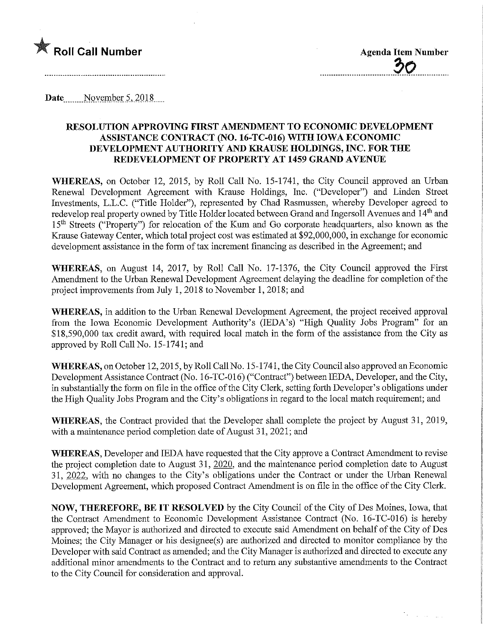

te and

Date November 5, 2018

## RESOLUTION APPROVING FIRST AMENDMENT TO ECONOMIC DEVELOPMENT ASSISTANCE CONTRACT (NO. 16-TC-016) WITH IOWA ECONOMIC DEVELOPMENT AUTHORITY AND KRAUSE HOLDINGS, INC. FOR THE REDEVELOPMENT OF PROPERTY AT 1459 GRAND AVENUE

WHEREAS, on October 12, 2015, by Roll Call No. 15-1741, the City Council approved an Urban Renewal Development Agreement with Krause Holdings, Inc. ("Developer") and Linden Street Investments, L.L.C. ("Title Holder"), represented by Chad Rasmussen, whereby Developer agreed to redevelop real property owned by Title Holder located between Grand and Ingersoll Avenues and 14<sup>th</sup> and 15<sup>th</sup> Streets ("Property") for relocation of the Kum and Go corporate headquarters, also known as the Krause Gateway Center, which total project cost was estimated at \$92,000,000, in exchange for economic development assistance in the form of tax increment financing as described in the Agreement; and

WHEREAS, on August 14, 2017, by Roll Call No. 17-1376, the City Council approved the First Amendment to the Urban Renewal Development Agreement delaying the deadline for completion of the project improvements from July 1, 2018 to November 1, 2018; and

WHEREAS, in addition to the Urban Renewal Development Agreement, the project received approval from the Iowa Economic Development Authority's (lEDA's) "High Quality Jobs Program" for an \$18,590,000 tax credit award, with required local match in the form of the assistance from the City as approved by Roll Call No. 15-1741; and

WHEREAS, on October 12, 2015, by Roll Call No. 15-1741, the City Council also approved an Economic Development Assistance Contract (No. 16-TC-016) ("Contract") between IEDA, Developer, and the City, in substantially the form on file in the office of the City Clerk, setting forth Developer's obligations under the High Quality Jobs Program and the City's obligations in regard to the local match requirement; and

WHEREAS, the Contract provided that the Developer shall complete the project by August 31, 2019, with a maintenance period completion date of August 31, 2021; and

WHEREAS, Developer and IEDA have requested that the City approve a Contract Amendment to revise the project completion date to August 31, 2020, and the maintenance period completion date to August 31, 2022, with no changes to the City's obligations under the Contract or under the Urban Renewal Development Agreement, which proposed Contract Amendment is on file in the office of the City Clerk.

NOW, THEREFORE, BE IT RESOLVED by the City Council of the City of Des Moines, Iowa, that the Contract Amendment to Economic Development Assistance Contract (No. 16-TC-016) is hereby approved; the Mayor is authorized and directed to execute said Amendment on behalf of the City of Des Moines; the City Manager or his designee(s) are authorized and directed to monitor compliance by the Developer with said Contract as amended; and the City Manager is authorized and directed to execute any additional minor amendments to the Contract and to return any substantive amendments to the Contract to the City Council for consideration and approval.